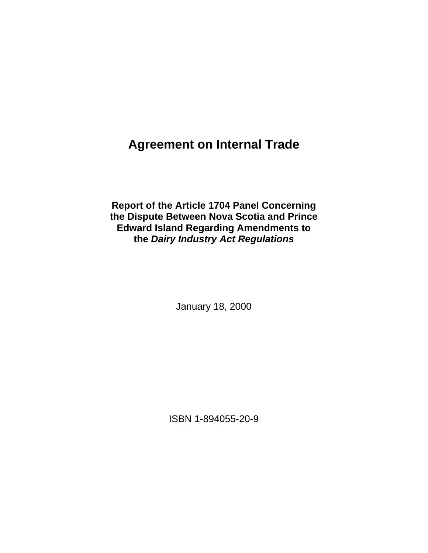# **Agreement on Internal Trade**

**Report of the Article 1704 Panel Concerning the Dispute Between Nova Scotia and Prince Edward Island Regarding Amendments to the** *Dairy Industry Act Regulations* 

January 18, 2000

ISBN 1-894055-20-9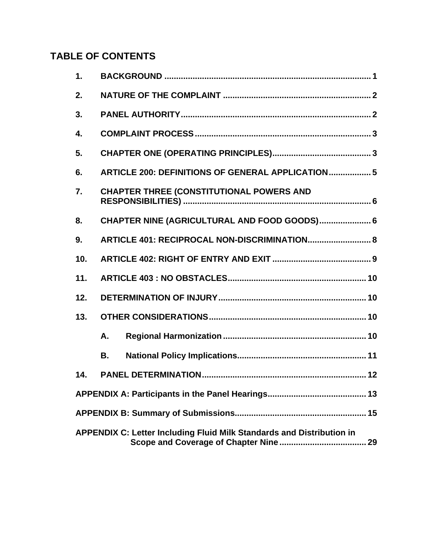# **TABLE OF CONTENTS**

| 1.               |                                                                       |  |  |
|------------------|-----------------------------------------------------------------------|--|--|
| 2.               |                                                                       |  |  |
| 3.               |                                                                       |  |  |
| $\overline{4}$ . |                                                                       |  |  |
| 5.               |                                                                       |  |  |
| 6.               | <b>ARTICLE 200: DEFINITIONS OF GENERAL APPLICATION 5</b>              |  |  |
| 7.               | <b>CHAPTER THREE (CONSTITUTIONAL POWERS AND</b>                       |  |  |
| 8.               | CHAPTER NINE (AGRICULTURAL AND FOOD GOODS) 6                          |  |  |
| 9.               | ARTICLE 401: RECIPROCAL NON-DISCRIMINATION 8                          |  |  |
| 10.              |                                                                       |  |  |
| 11.              |                                                                       |  |  |
| 12.              |                                                                       |  |  |
| 13.              |                                                                       |  |  |
|                  | Α.                                                                    |  |  |
|                  | В.                                                                    |  |  |
| 14.              |                                                                       |  |  |
|                  |                                                                       |  |  |
|                  |                                                                       |  |  |
|                  | APPENDIX C: Letter Including Fluid Milk Standards and Distribution in |  |  |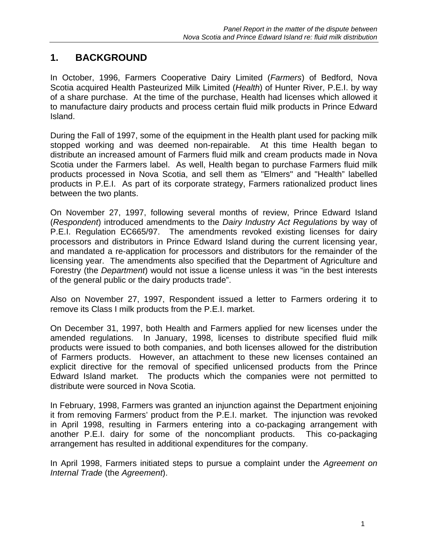# **1. BACKGROUND**

In October, 1996, Farmers Cooperative Dairy Limited (*Farmers*) of Bedford, Nova Scotia acquired Health Pasteurized Milk Limited (*Health*) of Hunter River, P.E.I. by way of a share purchase. At the time of the purchase, Health had licenses which allowed it to manufacture dairy products and process certain fluid milk products in Prince Edward Island.

During the Fall of 1997, some of the equipment in the Health plant used for packing milk stopped working and was deemed non-repairable. At this time Health began to distribute an increased amount of Farmers fluid milk and cream products made in Nova Scotia under the Farmers label. As well, Health began to purchase Farmers fluid milk products processed in Nova Scotia, and sell them as "Elmers" and "Health" labelled products in P.E.I. As part of its corporate strategy, Farmers rationalized product lines between the two plants.

On November 27, 1997, following several months of review, Prince Edward Island (*Respondent*) introduced amendments to the *Dairy Industry Act Regulations* by way of P.E.I. Regulation EC665/97. The amendments revoked existing licenses for dairy processors and distributors in Prince Edward Island during the current licensing year, and mandated a re-application for processors and distributors for the remainder of the licensing year. The amendments also specified that the Department of Agriculture and Forestry (the *Department*) would not issue a license unless it was "in the best interests of the general public or the dairy products trade".

Also on November 27, 1997, Respondent issued a letter to Farmers ordering it to remove its Class I milk products from the P.E.I. market.

On December 31, 1997, both Health and Farmers applied for new licenses under the amended regulations. In January, 1998, licenses to distribute specified fluid milk products were issued to both companies, and both licenses allowed for the distribution of Farmers products. However, an attachment to these new licenses contained an explicit directive for the removal of specified unlicensed products from the Prince Edward Island market. The products which the companies were not permitted to distribute were sourced in Nova Scotia.

In February, 1998, Farmers was granted an injunction against the Department enjoining it from removing Farmers' product from the P.E.I. market. The injunction was revoked in April 1998, resulting in Farmers entering into a co-packaging arrangement with another P.E.I. dairy for some of the noncompliant products. This co-packaging arrangement has resulted in additional expenditures for the company.

In April 1998, Farmers initiated steps to pursue a complaint under the *Agreement on Internal Trade* (the *Agreement*).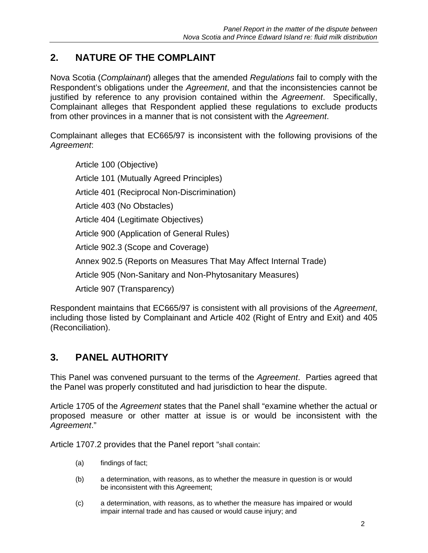# **2. NATURE OF THE COMPLAINT**

Nova Scotia (*Complainant*) alleges that the amended *Regulations* fail to comply with the Respondent's obligations under the *Agreement*, and that the inconsistencies cannot be justified by reference to any provision contained within the *Agreement*. Specifically, Complainant alleges that Respondent applied these regulations to exclude products from other provinces in a manner that is not consistent with the *Agreement*.

Complainant alleges that EC665/97 is inconsistent with the following provisions of the *Agreement*:

Article 100 (Objective) Article 101 (Mutually Agreed Principles) Article 401 (Reciprocal Non-Discrimination) Article 403 (No Obstacles) Article 404 (Legitimate Objectives) Article 900 (Application of General Rules) Article 902.3 (Scope and Coverage) Annex 902.5 (Reports on Measures That May Affect Internal Trade) Article 905 (Non-Sanitary and Non-Phytosanitary Measures) Article 907 (Transparency)

Respondent maintains that EC665/97 is consistent with all provisions of the *Agreement*, including those listed by Complainant and Article 402 (Right of Entry and Exit) and 405 (Reconciliation).

# **3. PANEL AUTHORITY**

This Panel was convened pursuant to the terms of the *Agreement*. Parties agreed that the Panel was properly constituted and had jurisdiction to hear the dispute.

Article 1705 of the *Agreement* states that the Panel shall "examine whether the actual or proposed measure or other matter at issue is or would be inconsistent with the *Agreement*."

Article 1707.2 provides that the Panel report "shall contain:

- (a) findings of fact;
- (b) a determination, with reasons, as to whether the measure in question is or would be inconsistent with this Agreement;
- (c) a determination, with reasons, as to whether the measure has impaired or would impair internal trade and has caused or would cause injury; and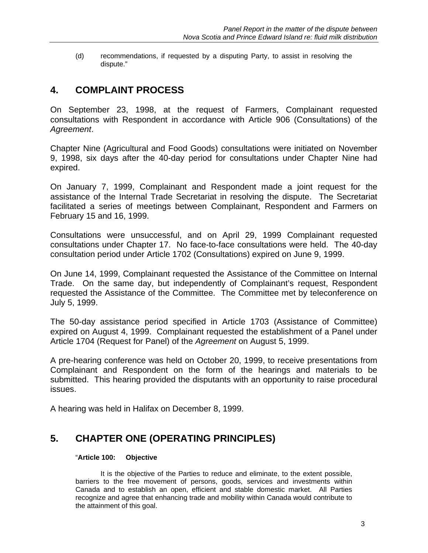(d) recommendations, if requested by a disputing Party, to assist in resolving the dispute."

# **4. COMPLAINT PROCESS**

On September 23, 1998, at the request of Farmers, Complainant requested consultations with Respondent in accordance with Article 906 (Consultations) of the *Agreement*.

Chapter Nine (Agricultural and Food Goods) consultations were initiated on November 9, 1998, six days after the 40-day period for consultations under Chapter Nine had expired.

On January 7, 1999, Complainant and Respondent made a joint request for the assistance of the Internal Trade Secretariat in resolving the dispute. The Secretariat facilitated a series of meetings between Complainant, Respondent and Farmers on February 15 and 16, 1999.

Consultations were unsuccessful, and on April 29, 1999 Complainant requested consultations under Chapter 17. No face-to-face consultations were held. The 40-day consultation period under Article 1702 (Consultations) expired on June 9, 1999.

On June 14, 1999, Complainant requested the Assistance of the Committee on Internal Trade. On the same day, but independently of Complainant's request, Respondent requested the Assistance of the Committee. The Committee met by teleconference on July 5, 1999.

The 50-day assistance period specified in Article 1703 (Assistance of Committee) expired on August 4, 1999. Complainant requested the establishment of a Panel under Article 1704 (Request for Panel) of the *Agreement* on August 5, 1999.

A pre-hearing conference was held on October 20, 1999, to receive presentations from Complainant and Respondent on the form of the hearings and materials to be submitted. This hearing provided the disputants with an opportunity to raise procedural issues.

A hearing was held in Halifax on December 8, 1999.

# **5. CHAPTER ONE (OPERATING PRINCIPLES)**

#### "**Article 100: Objective**

 It is the objective of the Parties to reduce and eliminate, to the extent possible, barriers to the free movement of persons, goods, services and investments within Canada and to establish an open, efficient and stable domestic market. All Parties recognize and agree that enhancing trade and mobility within Canada would contribute to the attainment of this goal.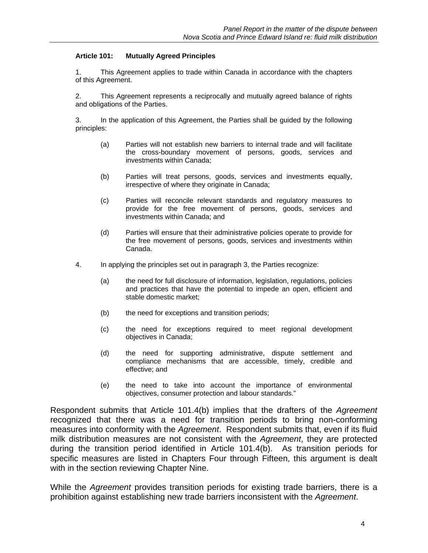#### **Article 101: Mutually Agreed Principles**

1. This Agreement applies to trade within Canada in accordance with the chapters of this Agreement.

2. This Agreement represents a reciprocally and mutually agreed balance of rights and obligations of the Parties.

3. In the application of this Agreement, the Parties shall be guided by the following principles:

- (a) Parties will not establish new barriers to internal trade and will facilitate the cross-boundary movement of persons, goods, services and investments within Canada;
- (b) Parties will treat persons, goods, services and investments equally, irrespective of where they originate in Canada;
- (c) Parties will reconcile relevant standards and regulatory measures to provide for the free movement of persons, goods, services and investments within Canada; and
- (d) Parties will ensure that their administrative policies operate to provide for the free movement of persons, goods, services and investments within Canada.
- 4. In applying the principles set out in paragraph 3, the Parties recognize:
	- (a) the need for full disclosure of information, legislation, regulations, policies and practices that have the potential to impede an open, efficient and stable domestic market;
	- (b) the need for exceptions and transition periods;
	- (c) the need for exceptions required to meet regional development objectives in Canada;
	- (d) the need for supporting administrative, dispute settlement and compliance mechanisms that are accessible, timely, credible and effective; and
	- (e) the need to take into account the importance of environmental objectives, consumer protection and labour standards."

Respondent submits that Article 101.4(b) implies that the drafters of the *Agreement* recognized that there was a need for transition periods to bring non-conforming measures into conformity with the *Agreement*. Respondent submits that, even if its fluid milk distribution measures are not consistent with the *Agreement*, they are protected during the transition period identified in Article 101.4(b). As transition periods for specific measures are listed in Chapters Four through Fifteen, this argument is dealt with in the section reviewing Chapter Nine.

While the *Agreement* provides transition periods for existing trade barriers, there is a prohibition against establishing new trade barriers inconsistent with the *Agreement*.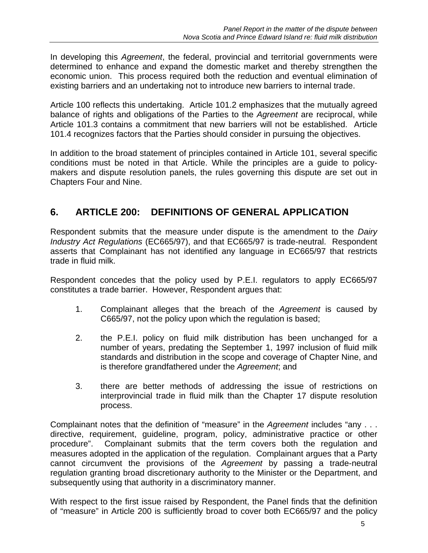In developing this *Agreement*, the federal, provincial and territorial governments were determined to enhance and expand the domestic market and thereby strengthen the economic union. This process required both the reduction and eventual elimination of existing barriers and an undertaking not to introduce new barriers to internal trade.

Article 100 reflects this undertaking. Article 101.2 emphasizes that the mutually agreed balance of rights and obligations of the Parties to the *Agreement* are reciprocal, while Article 101.3 contains a commitment that new barriers will not be established. Article 101.4 recognizes factors that the Parties should consider in pursuing the objectives.

In addition to the broad statement of principles contained in Article 101, several specific conditions must be noted in that Article. While the principles are a guide to policymakers and dispute resolution panels, the rules governing this dispute are set out in Chapters Four and Nine.

# **6. ARTICLE 200: DEFINITIONS OF GENERAL APPLICATION**

Respondent submits that the measure under dispute is the amendment to the *Dairy Industry Act Regulations* (EC665/97), and that EC665/97 is trade-neutral. Respondent asserts that Complainant has not identified any language in EC665/97 that restricts trade in fluid milk.

Respondent concedes that the policy used by P.E.I. regulators to apply EC665/97 constitutes a trade barrier. However, Respondent argues that:

- 1. Complainant alleges that the breach of the *Agreement* is caused by C665/97, not the policy upon which the regulation is based;
- 2. the P.E.I. policy on fluid milk distribution has been unchanged for a number of years, predating the September 1, 1997 inclusion of fluid milk standards and distribution in the scope and coverage of Chapter Nine, and is therefore grandfathered under the *Agreement*; and
- 3. there are better methods of addressing the issue of restrictions on interprovincial trade in fluid milk than the Chapter 17 dispute resolution process.

Complainant notes that the definition of "measure" in the *Agreement* includes "any . . . directive, requirement, guideline, program, policy, administrative practice or other procedure". Complainant submits that the term covers both the regulation and measures adopted in the application of the regulation. Complainant argues that a Party cannot circumvent the provisions of the *Agreement* by passing a trade-neutral regulation granting broad discretionary authority to the Minister or the Department, and subsequently using that authority in a discriminatory manner.

With respect to the first issue raised by Respondent, the Panel finds that the definition of "measure" in Article 200 is sufficiently broad to cover both EC665/97 and the policy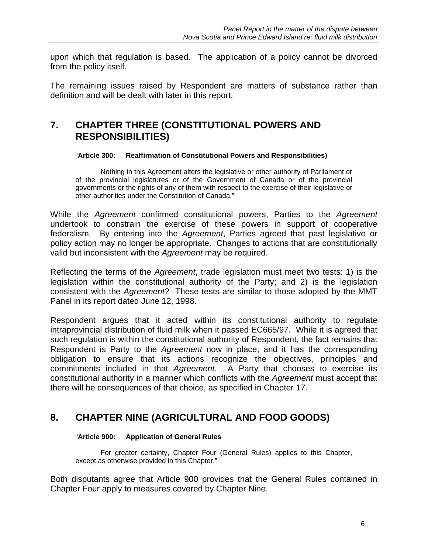upon which that regulation is based. The application of a policy cannot be divorced from the policy itself.

The remaining issues raised by Respondent are matters of substance rather than definition and will be dealt with later in this report.

# **7. CHAPTER THREE (CONSTITUTIONAL POWERS AND RESPONSIBILITIES)**

#### "**Article 300: Reaffirmation of Constitutional Powers and Responsibilities)**

 Nothing in this Agreement alters the legislative or other authority of Parliament or of the provincial legislatures or of the Government of Canada or of the provincial governments or the rights of any of them with respect to the exercise of their legislative or other authorities under the Constitution of Canada."

While the *Agreement* confirmed constitutional powers, Parties to the *Agreement* undertook to constrain the exercise of these powers in support of cooperative federalism. By entering into the *Agreement*, Parties agreed that past legislative or policy action may no longer be appropriate. Changes to actions that are constitutionally valid but inconsistent with the *Agreement* may be required.

Reflecting the terms of the *Agreement*, trade legislation must meet two tests: 1) is the legislation within the constitutional authority of the Party; and 2) is the legislation consistent with the *Agreement*? These tests are similar to those adopted by the MMT Panel in its report dated June 12, 1998.

Respondent argues that it acted within its constitutional authority to regulate intraprovincial distribution of fluid milk when it passed EC665/97. While it is agreed that such regulation is within the constitutional authority of Respondent, the fact remains that Respondent is Party to the *Agreement* now in place, and it has the corresponding obligation to ensure that its actions recognize the objectives, principles and commitments included in that *Agreement*. A Party that chooses to exercise its constitutional authority in a manner which conflicts with the *Agreement* must accept that there will be consequences of that choice, as specified in Chapter 17.

# **8. CHAPTER NINE (AGRICULTURAL AND FOOD GOODS)**

#### "**Article 900: Application of General Rules**

 For greater certainty, Chapter Four (General Rules) applies to this Chapter, except as otherwise provided in this Chapter."

Both disputants agree that Article 900 provides that the General Rules contained in Chapter Four apply to measures covered by Chapter Nine.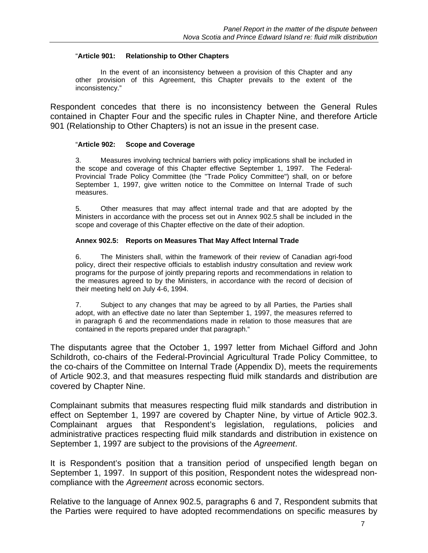#### "**Article 901: Relationship to Other Chapters**

 In the event of an inconsistency between a provision of this Chapter and any other provision of this Agreement, this Chapter prevails to the extent of the inconsistency."

Respondent concedes that there is no inconsistency between the General Rules contained in Chapter Four and the specific rules in Chapter Nine, and therefore Article 901 (Relationship to Other Chapters) is not an issue in the present case.

#### "**Article 902: Scope and Coverage**

3. Measures involving technical barriers with policy implications shall be included in the scope and coverage of this Chapter effective September 1, 1997. The Federal-Provincial Trade Policy Committee (the "Trade Policy Committee") shall, on or before September 1, 1997, give written notice to the Committee on Internal Trade of such measures.

5. Other measures that may affect internal trade and that are adopted by the Ministers in accordance with the process set out in Annex 902.5 shall be included in the scope and coverage of this Chapter effective on the date of their adoption.

#### **Annex 902.5: Reports on Measures That May Affect Internal Trade**

6. The Ministers shall, within the framework of their review of Canadian agri-food policy, direct their respective officials to establish industry consultation and review work programs for the purpose of jointly preparing reports and recommendations in relation to the measures agreed to by the Ministers, in accordance with the record of decision of their meeting held on July 4-6, 1994.

7. Subject to any changes that may be agreed to by all Parties, the Parties shall adopt, with an effective date no later than September 1, 1997, the measures referred to in paragraph 6 and the recommendations made in relation to those measures that are contained in the reports prepared under that paragraph."

The disputants agree that the October 1, 1997 letter from Michael Gifford and John Schildroth, co-chairs of the Federal-Provincial Agricultural Trade Policy Committee, to the co-chairs of the Committee on Internal Trade (Appendix D), meets the requirements of Article 902.3, and that measures respecting fluid milk standards and distribution are covered by Chapter Nine.

Complainant submits that measures respecting fluid milk standards and distribution in effect on September 1, 1997 are covered by Chapter Nine, by virtue of Article 902.3. Complainant argues that Respondent's legislation, regulations, policies and administrative practices respecting fluid milk standards and distribution in existence on September 1, 1997 are subject to the provisions of the *Agreement*.

It is Respondent's position that a transition period of unspecified length began on September 1, 1997. In support of this position, Respondent notes the widespread noncompliance with the *Agreement* across economic sectors.

Relative to the language of Annex 902.5, paragraphs 6 and 7, Respondent submits that the Parties were required to have adopted recommendations on specific measures by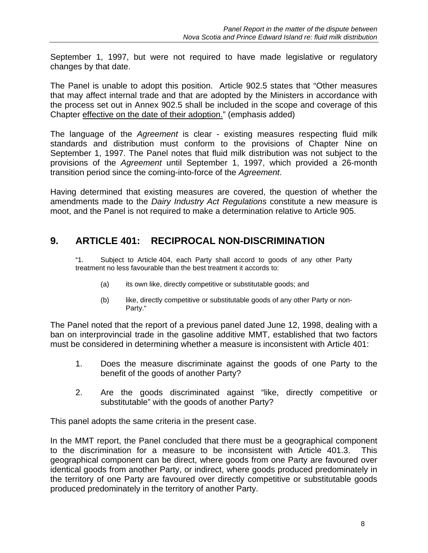September 1, 1997, but were not required to have made legislative or regulatory changes by that date.

The Panel is unable to adopt this position. Article 902.5 states that "Other measures that may affect internal trade and that are adopted by the Ministers in accordance with the process set out in Annex 902.5 shall be included in the scope and coverage of this Chapter effective on the date of their adoption." (emphasis added)

The language of the *Agreement* is clear - existing measures respecting fluid milk standards and distribution must conform to the provisions of Chapter Nine on September 1, 1997. The Panel notes that fluid milk distribution was not subject to the provisions of the *Agreement* until September 1, 1997, which provided a 26-month transition period since the coming-into-force of the *Agreement*.

Having determined that existing measures are covered, the question of whether the amendments made to the *Dairy Industry Act Regulations* constitute a new measure is moot, and the Panel is not required to make a determination relative to Article 905.

# **9. ARTICLE 401: RECIPROCAL NON-DISCRIMINATION**

"1. Subject to Article 404, each Party shall accord to goods of any other Party treatment no less favourable than the best treatment it accords to:

- (a) its own like, directly competitive or substitutable goods; and
- (b) like, directly competitive or substitutable goods of any other Party or non-Party."

The Panel noted that the report of a previous panel dated June 12, 1998, dealing with a ban on interprovincial trade in the gasoline additive MMT, established that two factors must be considered in determining whether a measure is inconsistent with Article 401:

- 1. Does the measure discriminate against the goods of one Party to the benefit of the goods of another Party?
- 2. Are the goods discriminated against "like, directly competitive or substitutable" with the goods of another Party?

This panel adopts the same criteria in the present case.

In the MMT report, the Panel concluded that there must be a geographical component to the discrimination for a measure to be inconsistent with Article 401.3. This geographical component can be direct, where goods from one Party are favoured over identical goods from another Party, or indirect, where goods produced predominately in the territory of one Party are favoured over directly competitive or substitutable goods produced predominately in the territory of another Party.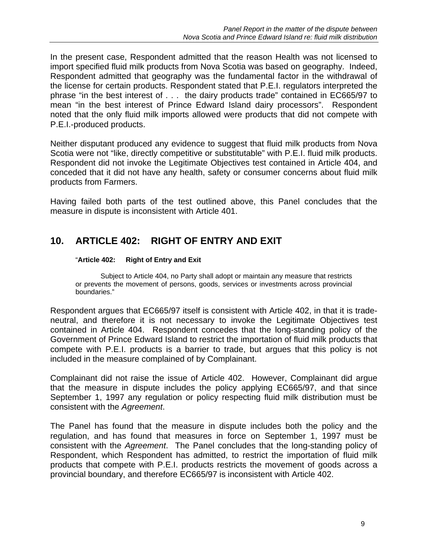In the present case, Respondent admitted that the reason Health was not licensed to import specified fluid milk products from Nova Scotia was based on geography. Indeed, Respondent admitted that geography was the fundamental factor in the withdrawal of the license for certain products. Respondent stated that P.E.I. regulators interpreted the phrase "in the best interest of . . . the dairy products trade" contained in EC665/97 to mean "in the best interest of Prince Edward Island dairy processors". Respondent noted that the only fluid milk imports allowed were products that did not compete with P.E.I.-produced products.

Neither disputant produced any evidence to suggest that fluid milk products from Nova Scotia were not "like, directly competitive or substitutable" with P.E.I. fluid milk products. Respondent did not invoke the Legitimate Objectives test contained in Article 404, and conceded that it did not have any health, safety or consumer concerns about fluid milk products from Farmers.

Having failed both parts of the test outlined above, this Panel concludes that the measure in dispute is inconsistent with Article 401.

# **10. ARTICLE 402: RIGHT OF ENTRY AND EXIT**

#### "**Article 402: Right of Entry and Exit**

 Subject to Article 404, no Party shall adopt or maintain any measure that restricts or prevents the movement of persons, goods, services or investments across provincial boundaries."

Respondent argues that EC665/97 itself is consistent with Article 402, in that it is tradeneutral, and therefore it is not necessary to invoke the Legitimate Objectives test contained in Article 404. Respondent concedes that the long-standing policy of the Government of Prince Edward Island to restrict the importation of fluid milk products that compete with P.E.I. products is a barrier to trade, but argues that this policy is not included in the measure complained of by Complainant.

Complainant did not raise the issue of Article 402. However, Complainant did argue that the measure in dispute includes the policy applying EC665/97, and that since September 1, 1997 any regulation or policy respecting fluid milk distribution must be consistent with the *Agreement*.

The Panel has found that the measure in dispute includes both the policy and the regulation, and has found that measures in force on September 1, 1997 must be consistent with the *Agreement*. The Panel concludes that the long-standing policy of Respondent, which Respondent has admitted, to restrict the importation of fluid milk products that compete with P.E.I. products restricts the movement of goods across a provincial boundary, and therefore EC665/97 is inconsistent with Article 402.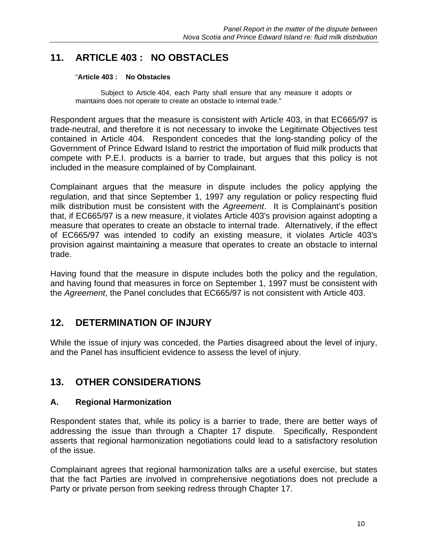# **11. ARTICLE 403 : NO OBSTACLES**

#### "**Article 403 : No Obstacles**

 Subject to Article 404, each Party shall ensure that any measure it adopts or maintains does not operate to create an obstacle to internal trade."

Respondent argues that the measure is consistent with Article 403, in that EC665/97 is trade-neutral, and therefore it is not necessary to invoke the Legitimate Objectives test contained in Article 404. Respondent concedes that the long-standing policy of the Government of Prince Edward Island to restrict the importation of fluid milk products that compete with P.E.I. products is a barrier to trade, but argues that this policy is not included in the measure complained of by Complainant.

Complainant argues that the measure in dispute includes the policy applying the regulation, and that since September 1, 1997 any regulation or policy respecting fluid milk distribution must be consistent with the *Agreement*. It is Complainant's position that, if EC665/97 is a new measure, it violates Article 403's provision against adopting a measure that operates to create an obstacle to internal trade. Alternatively, if the effect of EC665/97 was intended to codify an existing measure, it violates Article 403's provision against maintaining a measure that operates to create an obstacle to internal trade.

Having found that the measure in dispute includes both the policy and the regulation, and having found that measures in force on September 1, 1997 must be consistent with the *Agreement*, the Panel concludes that EC665/97 is not consistent with Article 403.

# **12. DETERMINATION OF INJURY**

While the issue of injury was conceded, the Parties disagreed about the level of injury, and the Panel has insufficient evidence to assess the level of injury.

# **13. OTHER CONSIDERATIONS**

# **A. Regional Harmonization**

Respondent states that, while its policy is a barrier to trade, there are better ways of addressing the issue than through a Chapter 17 dispute. Specifically, Respondent asserts that regional harmonization negotiations could lead to a satisfactory resolution of the issue.

Complainant agrees that regional harmonization talks are a useful exercise, but states that the fact Parties are involved in comprehensive negotiations does not preclude a Party or private person from seeking redress through Chapter 17.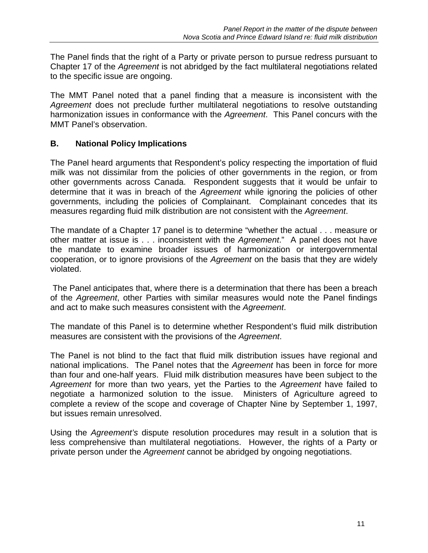The Panel finds that the right of a Party or private person to pursue redress pursuant to Chapter 17 of the *Agreement* is not abridged by the fact multilateral negotiations related to the specific issue are ongoing.

The MMT Panel noted that a panel finding that a measure is inconsistent with the *Agreement* does not preclude further multilateral negotiations to resolve outstanding harmonization issues in conformance with the *Agreement*. This Panel concurs with the MMT Panel's observation.

# **B. National Policy Implications**

The Panel heard arguments that Respondent's policy respecting the importation of fluid milk was not dissimilar from the policies of other governments in the region, or from other governments across Canada. Respondent suggests that it would be unfair to determine that it was in breach of the *Agreement* while ignoring the policies of other governments, including the policies of Complainant. Complainant concedes that its measures regarding fluid milk distribution are not consistent with the *Agreement*.

The mandate of a Chapter 17 panel is to determine "whether the actual . . . measure or other matter at issue is . . . inconsistent with the *Agreement*." A panel does not have the mandate to examine broader issues of harmonization or intergovernmental cooperation, or to ignore provisions of the *Agreement* on the basis that they are widely violated.

 The Panel anticipates that, where there is a determination that there has been a breach of the *Agreement*, other Parties with similar measures would note the Panel findings and act to make such measures consistent with the *Agreement*.

The mandate of this Panel is to determine whether Respondent's fluid milk distribution measures are consistent with the provisions of the *Agreement*.

The Panel is not blind to the fact that fluid milk distribution issues have regional and national implications. The Panel notes that the *Agreement* has been in force for more than four and one-half years. Fluid milk distribution measures have been subject to the *Agreement* for more than two years, yet the Parties to the *Agreement* have failed to negotiate a harmonized solution to the issue. Ministers of Agriculture agreed to complete a review of the scope and coverage of Chapter Nine by September 1, 1997, but issues remain unresolved.

Using the *Agreement's* dispute resolution procedures may result in a solution that is less comprehensive than multilateral negotiations. However, the rights of a Party or private person under the *Agreement* cannot be abridged by ongoing negotiations.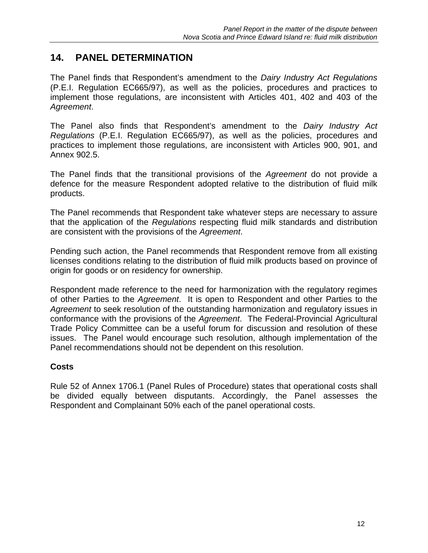# **14. PANEL DETERMINATION**

The Panel finds that Respondent's amendment to the *Dairy Industry Act Regulations* (P.E.I. Regulation EC665/97), as well as the policies, procedures and practices to implement those regulations, are inconsistent with Articles 401, 402 and 403 of the *Agreement*.

The Panel also finds that Respondent's amendment to the *Dairy Industry Act Regulations* (P.E.I. Regulation EC665/97), as well as the policies, procedures and practices to implement those regulations, are inconsistent with Articles 900, 901, and Annex 902.5.

The Panel finds that the transitional provisions of the *Agreement* do not provide a defence for the measure Respondent adopted relative to the distribution of fluid milk products.

The Panel recommends that Respondent take whatever steps are necessary to assure that the application of the *Regulations* respecting fluid milk standards and distribution are consistent with the provisions of the *Agreement*.

Pending such action, the Panel recommends that Respondent remove from all existing licenses conditions relating to the distribution of fluid milk products based on province of origin for goods or on residency for ownership.

Respondent made reference to the need for harmonization with the regulatory regimes of other Parties to the *Agreement*. It is open to Respondent and other Parties to the *Agreement* to seek resolution of the outstanding harmonization and regulatory issues in conformance with the provisions of the *Agreement*. The Federal-Provincial Agricultural Trade Policy Committee can be a useful forum for discussion and resolution of these issues. The Panel would encourage such resolution, although implementation of the Panel recommendations should not be dependent on this resolution.

# **Costs**

Rule 52 of Annex 1706.1 (Panel Rules of Procedure) states that operational costs shall be divided equally between disputants. Accordingly, the Panel assesses the Respondent and Complainant 50% each of the panel operational costs.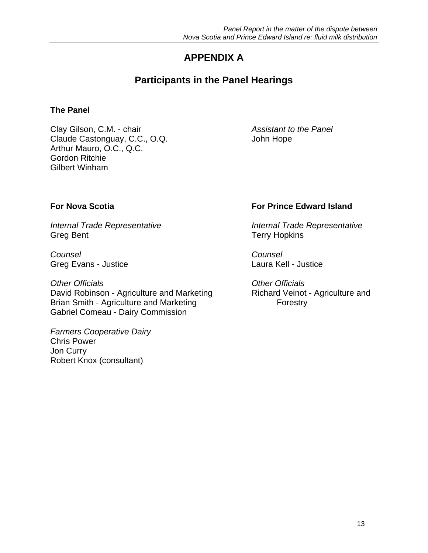# **APPENDIX A**

# **Participants in the Panel Hearings**

# **The Panel**

Clay Gilson, C.M. - chair *Assistant to the Panel* Claude Castonguay, C.C., O.Q. Sand Claude Castonguay, C.C., O.Q. Arthur Mauro, O.C., Q.C. Gordon Ritchie Gilbert Winham

Greg Bent Terry Hopkins

*Counsel Counsel*  Greg Evans - Justice Laura Kell - Justice

*Other Officials Other Officials* David Robinson - Agriculture and Marketing Richard Veinot - Agriculture and Brian Smith - Agriculture and Marketing Forestry Gabriel Comeau - Dairy Commission

*Farmers Cooperative Dairy*  Chris Power Jon Curry Robert Knox (consultant)

# **For Nova Scotia For Prince Edward Island**

*Internal Trade Representative Internal Trade Representative*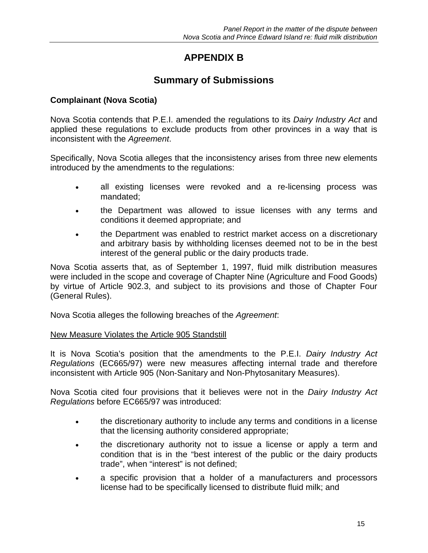# **APPENDIX B**

# **Summary of Submissions**

# **Complainant (Nova Scotia)**

Nova Scotia contends that P.E.I. amended the regulations to its *Dairy Industry Act* and applied these regulations to exclude products from other provinces in a way that is inconsistent with the *Agreement*.

Specifically, Nova Scotia alleges that the inconsistency arises from three new elements introduced by the amendments to the regulations:

- all existing licenses were revoked and a re-licensing process was mandated;
- the Department was allowed to issue licenses with any terms and conditions it deemed appropriate; and
- the Department was enabled to restrict market access on a discretionary and arbitrary basis by withholding licenses deemed not to be in the best interest of the general public or the dairy products trade.

Nova Scotia asserts that, as of September 1, 1997, fluid milk distribution measures were included in the scope and coverage of Chapter Nine (Agriculture and Food Goods) by virtue of Article 902.3, and subject to its provisions and those of Chapter Four (General Rules).

Nova Scotia alleges the following breaches of the *Agreement*:

# New Measure Violates the Article 905 Standstill

It is Nova Scotia's position that the amendments to the P.E.I. *Dairy Industry Act Regulations* (EC665/97) were new measures affecting internal trade and therefore inconsistent with Article 905 (Non-Sanitary and Non-Phytosanitary Measures).

Nova Scotia cited four provisions that it believes were not in the *Dairy Industry Act Regulations* before EC665/97 was introduced:

- the discretionary authority to include any terms and conditions in a license that the licensing authority considered appropriate;
- the discretionary authority not to issue a license or apply a term and condition that is in the "best interest of the public or the dairy products trade", when "interest" is not defined;
- a specific provision that a holder of a manufacturers and processors license had to be specifically licensed to distribute fluid milk; and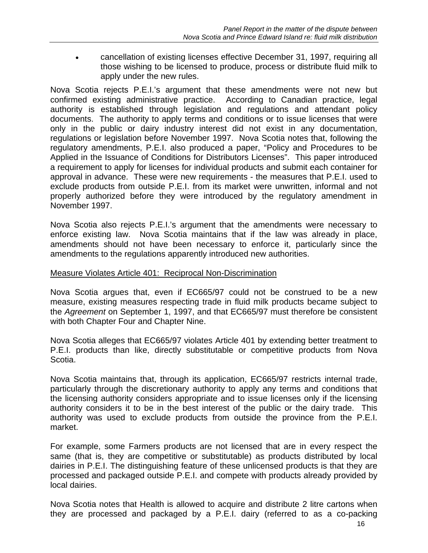• cancellation of existing licenses effective December 31, 1997, requiring all those wishing to be licensed to produce, process or distribute fluid milk to apply under the new rules.

Nova Scotia rejects P.E.I.'s argument that these amendments were not new but confirmed existing administrative practice. According to Canadian practice, legal authority is established through legislation and regulations and attendant policy documents. The authority to apply terms and conditions or to issue licenses that were only in the public or dairy industry interest did not exist in any documentation, regulations or legislation before November 1997. Nova Scotia notes that, following the regulatory amendments, P.E.I. also produced a paper, "Policy and Procedures to be Applied in the Issuance of Conditions for Distributors Licenses". This paper introduced a requirement to apply for licenses for individual products and submit each container for approval in advance. These were new requirements - the measures that P.E.I. used to exclude products from outside P.E.I. from its market were unwritten, informal and not properly authorized before they were introduced by the regulatory amendment in November 1997.

Nova Scotia also rejects P.E.I.'s argument that the amendments were necessary to enforce existing law. Nova Scotia maintains that if the law was already in place, amendments should not have been necessary to enforce it, particularly since the amendments to the regulations apparently introduced new authorities.

### Measure Violates Article 401: Reciprocal Non-Discrimination

Nova Scotia argues that, even if EC665/97 could not be construed to be a new measure, existing measures respecting trade in fluid milk products became subject to the *Agreement* on September 1, 1997, and that EC665/97 must therefore be consistent with both Chapter Four and Chapter Nine.

Nova Scotia alleges that EC665/97 violates Article 401 by extending better treatment to P.E.I. products than like, directly substitutable or competitive products from Nova Scotia.

Nova Scotia maintains that, through its application, EC665/97 restricts internal trade, particularly through the discretionary authority to apply any terms and conditions that the licensing authority considers appropriate and to issue licenses only if the licensing authority considers it to be in the best interest of the public or the dairy trade. This authority was used to exclude products from outside the province from the P.E.I. market.

For example, some Farmers products are not licensed that are in every respect the same (that is, they are competitive or substitutable) as products distributed by local dairies in P.E.I. The distinguishing feature of these unlicensed products is that they are processed and packaged outside P.E.I. and compete with products already provided by local dairies.

Nova Scotia notes that Health is allowed to acquire and distribute 2 litre cartons when they are processed and packaged by a P.E.I. dairy (referred to as a co-packing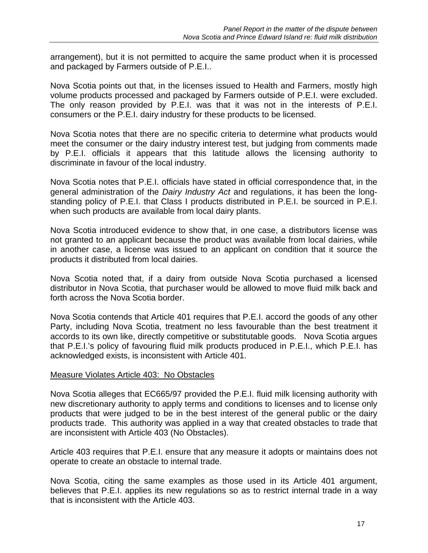arrangement), but it is not permitted to acquire the same product when it is processed and packaged by Farmers outside of P.E.I..

Nova Scotia points out that, in the licenses issued to Health and Farmers, mostly high volume products processed and packaged by Farmers outside of P.E.I. were excluded. The only reason provided by P.E.I. was that it was not in the interests of P.E.I. consumers or the P.E.I. dairy industry for these products to be licensed.

Nova Scotia notes that there are no specific criteria to determine what products would meet the consumer or the dairy industry interest test, but judging from comments made by P.E.I. officials it appears that this latitude allows the licensing authority to discriminate in favour of the local industry.

Nova Scotia notes that P.E.I. officials have stated in official correspondence that, in the general administration of the *Dairy Industry Act* and regulations, it has been the longstanding policy of P.E.I. that Class I products distributed in P.E.I. be sourced in P.E.I. when such products are available from local dairy plants.

Nova Scotia introduced evidence to show that, in one case, a distributors license was not granted to an applicant because the product was available from local dairies, while in another case, a license was issued to an applicant on condition that it source the products it distributed from local dairies.

Nova Scotia noted that, if a dairy from outside Nova Scotia purchased a licensed distributor in Nova Scotia, that purchaser would be allowed to move fluid milk back and forth across the Nova Scotia border.

Nova Scotia contends that Article 401 requires that P.E.I. accord the goods of any other Party, including Nova Scotia, treatment no less favourable than the best treatment it accords to its own like, directly competitive or substitutable goods. Nova Scotia argues that P.E.I.'s policy of favouring fluid milk products produced in P.E.I., which P.E.I. has acknowledged exists, is inconsistent with Article 401.

#### Measure Violates Article 403: No Obstacles

Nova Scotia alleges that EC665/97 provided the P.E.I. fluid milk licensing authority with new discretionary authority to apply terms and conditions to licenses and to license only products that were judged to be in the best interest of the general public or the dairy products trade. This authority was applied in a way that created obstacles to trade that are inconsistent with Article 403 (No Obstacles).

Article 403 requires that P.E.I. ensure that any measure it adopts or maintains does not operate to create an obstacle to internal trade.

Nova Scotia, citing the same examples as those used in its Article 401 argument, believes that P.E.I. applies its new regulations so as to restrict internal trade in a way that is inconsistent with the Article 403.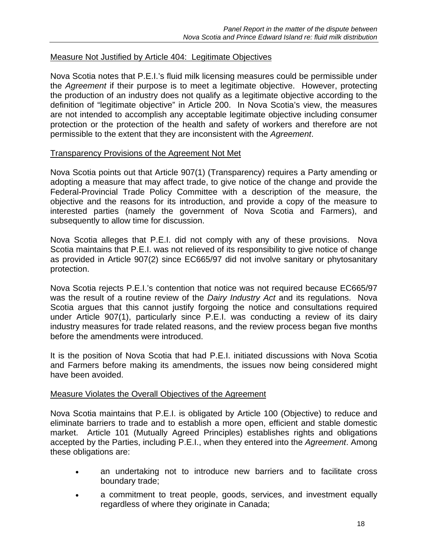# Measure Not Justified by Article 404: Legitimate Objectives

Nova Scotia notes that P.E.I.'s fluid milk licensing measures could be permissible under the *Agreement* if their purpose is to meet a legitimate objective. However, protecting the production of an industry does not qualify as a legitimate objective according to the definition of "legitimate objective" in Article 200. In Nova Scotia's view, the measures are not intended to accomplish any acceptable legitimate objective including consumer protection or the protection of the health and safety of workers and therefore are not permissible to the extent that they are inconsistent with the *Agreement*.

#### Transparency Provisions of the Agreement Not Met

Nova Scotia points out that Article 907(1) (Transparency) requires a Party amending or adopting a measure that may affect trade, to give notice of the change and provide the Federal-Provincial Trade Policy Committee with a description of the measure, the objective and the reasons for its introduction, and provide a copy of the measure to interested parties (namely the government of Nova Scotia and Farmers), and subsequently to allow time for discussion.

Nova Scotia alleges that P.E.I. did not comply with any of these provisions. Nova Scotia maintains that P.E.I. was not relieved of its responsibility to give notice of change as provided in Article 907(2) since EC665/97 did not involve sanitary or phytosanitary protection.

Nova Scotia rejects P.E.I.'s contention that notice was not required because EC665/97 was the result of a routine review of the *Dairy Industry Act* and its regulations. Nova Scotia argues that this cannot justify forgoing the notice and consultations required under Article 907(1), particularly since P.E.I. was conducting a review of its dairy industry measures for trade related reasons, and the review process began five months before the amendments were introduced.

It is the position of Nova Scotia that had P.E.I. initiated discussions with Nova Scotia and Farmers before making its amendments, the issues now being considered might have been avoided.

#### Measure Violates the Overall Objectives of the Agreement

Nova Scotia maintains that P.E.I. is obligated by Article 100 (Objective) to reduce and eliminate barriers to trade and to establish a more open, efficient and stable domestic market. Article 101 (Mutually Agreed Principles) establishes rights and obligations accepted by the Parties, including P.E.I., when they entered into the *Agreement*. Among these obligations are:

- an undertaking not to introduce new barriers and to facilitate cross boundary trade;
- a commitment to treat people, goods, services, and investment equally regardless of where they originate in Canada;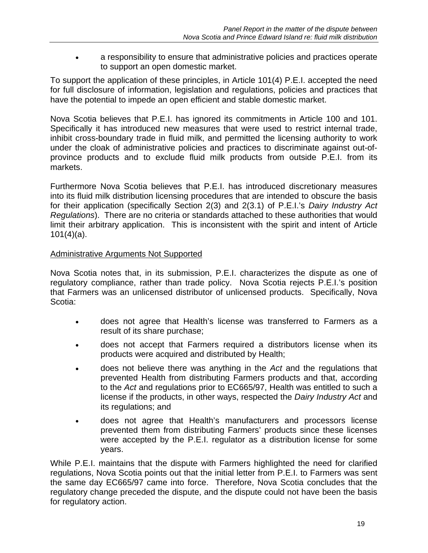• a responsibility to ensure that administrative policies and practices operate to support an open domestic market.

To support the application of these principles, in Article 101(4) P.E.I. accepted the need for full disclosure of information, legislation and regulations, policies and practices that have the potential to impede an open efficient and stable domestic market.

Nova Scotia believes that P.E.I. has ignored its commitments in Article 100 and 101. Specifically it has introduced new measures that were used to restrict internal trade, inhibit cross-boundary trade in fluid milk, and permitted the licensing authority to work under the cloak of administrative policies and practices to discriminate against out-ofprovince products and to exclude fluid milk products from outside P.E.I. from its markets.

Furthermore Nova Scotia believes that P.E.I. has introduced discretionary measures into its fluid milk distribution licensing procedures that are intended to obscure the basis for their application (specifically Section 2(3) and 2(3.1) of P.E.I.'s *Dairy Industry Act Regulations*). There are no criteria or standards attached to these authorities that would limit their arbitrary application. This is inconsistent with the spirit and intent of Article 101(4)(a).

### Administrative Arguments Not Supported

Nova Scotia notes that, in its submission, P.E.I. characterizes the dispute as one of regulatory compliance, rather than trade policy. Nova Scotia rejects P.E.I.'s position that Farmers was an unlicensed distributor of unlicensed products. Specifically, Nova Scotia:

- does not agree that Health's license was transferred to Farmers as a result of its share purchase;
- does not accept that Farmers required a distributors license when its products were acquired and distributed by Health;
- does not believe there was anything in the *Act* and the regulations that prevented Health from distributing Farmers products and that, according to the *Act* and regulations prior to EC665/97, Health was entitled to such a license if the products, in other ways, respected the *Dairy Industry Act* and its regulations; and
- does not agree that Health's manufacturers and processors license prevented them from distributing Farmers' products since these licenses were accepted by the P.E.I. regulator as a distribution license for some years.

While P.E.I. maintains that the dispute with Farmers highlighted the need for clarified regulations, Nova Scotia points out that the initial letter from P.E.I. to Farmers was sent the same day EC665/97 came into force. Therefore, Nova Scotia concludes that the regulatory change preceded the dispute, and the dispute could not have been the basis for regulatory action.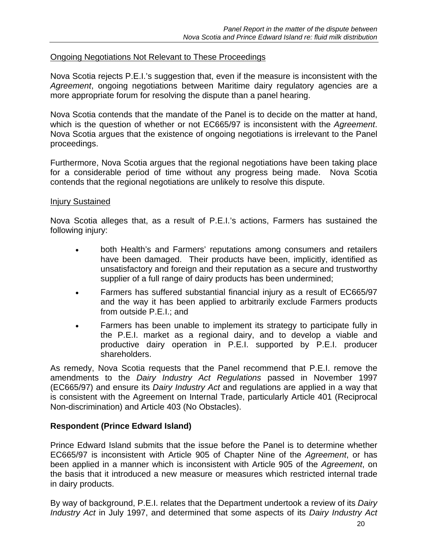### Ongoing Negotiations Not Relevant to These Proceedings

Nova Scotia rejects P.E.I.'s suggestion that, even if the measure is inconsistent with the *Agreement*, ongoing negotiations between Maritime dairy regulatory agencies are a more appropriate forum for resolving the dispute than a panel hearing.

Nova Scotia contends that the mandate of the Panel is to decide on the matter at hand, which is the question of whether or not EC665/97 is inconsistent with the *Agreement*. Nova Scotia argues that the existence of ongoing negotiations is irrelevant to the Panel proceedings.

Furthermore, Nova Scotia argues that the regional negotiations have been taking place for a considerable period of time without any progress being made. Nova Scotia contends that the regional negotiations are unlikely to resolve this dispute.

#### Injury Sustained

Nova Scotia alleges that, as a result of P.E.I.'s actions, Farmers has sustained the following injury:

- both Health's and Farmers' reputations among consumers and retailers have been damaged. Their products have been, implicitly, identified as unsatisfactory and foreign and their reputation as a secure and trustworthy supplier of a full range of dairy products has been undermined;
- Farmers has suffered substantial financial injury as a result of EC665/97 and the way it has been applied to arbitrarily exclude Farmers products from outside P.E.I.; and
- Farmers has been unable to implement its strategy to participate fully in the P.E.I. market as a regional dairy, and to develop a viable and productive dairy operation in P.E.I. supported by P.E.I. producer shareholders.

As remedy, Nova Scotia requests that the Panel recommend that P.E.I. remove the amendments to the *Dairy Industry Act Regulations* passed in November 1997 (EC665/97) and ensure its *Dairy Industry Act* and regulations are applied in a way that is consistent with the Agreement on Internal Trade, particularly Article 401 (Reciprocal Non-discrimination) and Article 403 (No Obstacles).

#### **Respondent (Prince Edward Island)**

Prince Edward Island submits that the issue before the Panel is to determine whether EC665/97 is inconsistent with Article 905 of Chapter Nine of the *Agreement*, or has been applied in a manner which is inconsistent with Article 905 of the *Agreement*, on the basis that it introduced a new measure or measures which restricted internal trade in dairy products.

By way of background, P.E.I. relates that the Department undertook a review of its *Dairy Industry Act* in July 1997, and determined that some aspects of its *Dairy Industry Act*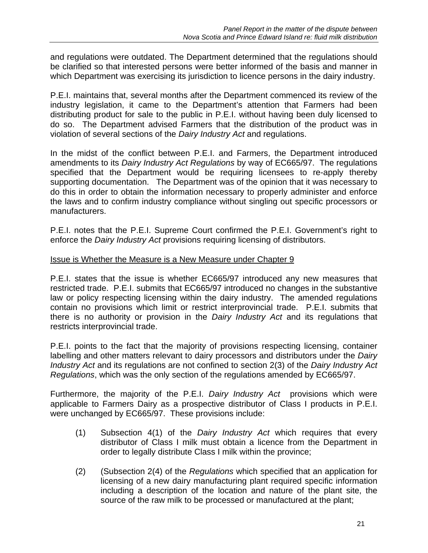and regulations were outdated. The Department determined that the regulations should be clarified so that interested persons were better informed of the basis and manner in which Department was exercising its jurisdiction to licence persons in the dairy industry.

P.E.I. maintains that, several months after the Department commenced its review of the industry legislation, it came to the Department's attention that Farmers had been distributing product for sale to the public in P.E.I. without having been duly licensed to do so. The Department advised Farmers that the distribution of the product was in violation of several sections of the *Dairy Industry Act* and regulations.

In the midst of the conflict between P.E.I. and Farmers, the Department introduced amendments to its *Dairy Industry Act Regulations* by way of EC665/97. The regulations specified that the Department would be requiring licensees to re-apply thereby supporting documentation. The Department was of the opinion that it was necessary to do this in order to obtain the information necessary to properly administer and enforce the laws and to confirm industry compliance without singling out specific processors or manufacturers.

P.E.I. notes that the P.E.I. Supreme Court confirmed the P.E.I. Government's right to enforce the *Dairy Industry Act* provisions requiring licensing of distributors.

### Issue is Whether the Measure is a New Measure under Chapter 9

P.E.I. states that the issue is whether EC665/97 introduced any new measures that restricted trade. P.E.I. submits that EC665/97 introduced no changes in the substantive law or policy respecting licensing within the dairy industry. The amended regulations contain no provisions which limit or restrict interprovincial trade. P.E.I. submits that there is no authority or provision in the *Dairy Industry Act* and its regulations that restricts interprovincial trade.

P.E.I. points to the fact that the majority of provisions respecting licensing, container labelling and other matters relevant to dairy processors and distributors under the *Dairy Industry Act* and its regulations are not confined to section 2(3) of the *Dairy Industry Act Regulations*, which was the only section of the regulations amended by EC665/97.

Furthermore, the majority of the P.E.I. *Dairy Industry Act* provisions which were applicable to Farmers Dairy as a prospective distributor of Class I products in P.E.I. were unchanged by EC665/97. These provisions include:

- (1) Subsection 4(1) of the *Dairy Industry Act* which requires that every distributor of Class I milk must obtain a licence from the Department in order to legally distribute Class I milk within the province;
- (2) (Subsection 2(4) of the *Regulations* which specified that an application for licensing of a new dairy manufacturing plant required specific information including a description of the location and nature of the plant site, the source of the raw milk to be processed or manufactured at the plant;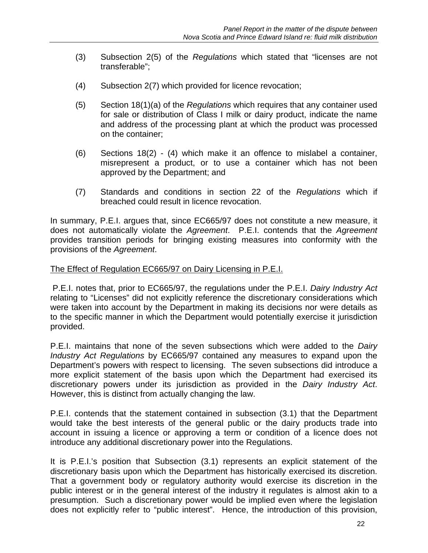- (3) Subsection 2(5) of the *Regulations* which stated that "licenses are not transferable";
- (4) Subsection 2(7) which provided for licence revocation;
- (5) Section 18(1)(a) of the *Regulations* which requires that any container used for sale or distribution of Class I milk or dairy product, indicate the name and address of the processing plant at which the product was processed on the container;
- (6) Sections 18(2) (4) which make it an offence to mislabel a container, misrepresent a product, or to use a container which has not been approved by the Department; and
- (7) Standards and conditions in section 22 of the *Regulations* which if breached could result in licence revocation.

In summary, P.E.I. argues that, since EC665/97 does not constitute a new measure, it does not automatically violate the *Agreement*. P.E.I. contends that the *Agreement* provides transition periods for bringing existing measures into conformity with the provisions of the *Agreement*.

#### The Effect of Regulation EC665/97 on Dairy Licensing in P.E.I.

 P.E.I. notes that, prior to EC665/97, the regulations under the P.E.I. *Dairy Industry Act* relating to "Licenses" did not explicitly reference the discretionary considerations which were taken into account by the Department in making its decisions nor were details as to the specific manner in which the Department would potentially exercise it jurisdiction provided.

P.E.I. maintains that none of the seven subsections which were added to the *Dairy Industry Act Regulations* by EC665/97 contained any measures to expand upon the Department's powers with respect to licensing. The seven subsections did introduce a more explicit statement of the basis upon which the Department had exercised its discretionary powers under its jurisdiction as provided in the *Dairy Industry Act*. However, this is distinct from actually changing the law.

P.E.I. contends that the statement contained in subsection (3.1) that the Department would take the best interests of the general public or the dairy products trade into account in issuing a licence or approving a term or condition of a licence does not introduce any additional discretionary power into the Regulations.

It is P.E.I.'s position that Subsection (3.1) represents an explicit statement of the discretionary basis upon which the Department has historically exercised its discretion. That a government body or regulatory authority would exercise its discretion in the public interest or in the general interest of the industry it regulates is almost akin to a presumption. Such a discretionary power would be implied even where the legislation does not explicitly refer to "public interest". Hence, the introduction of this provision,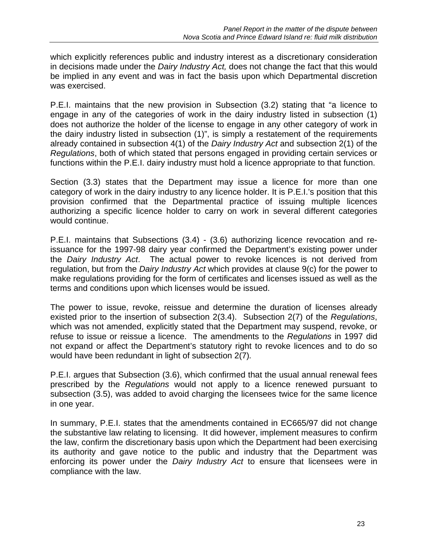which explicitly references public and industry interest as a discretionary consideration in decisions made under the *Dairy Industry Act,* does not change the fact that this would be implied in any event and was in fact the basis upon which Departmental discretion was exercised.

P.E.I. maintains that the new provision in Subsection (3.2) stating that "a licence to engage in any of the categories of work in the dairy industry listed in subsection (1) does not authorize the holder of the license to engage in any other category of work in the dairy industry listed in subsection (1)", is simply a restatement of the requirements already contained in subsection 4(1) of the *Dairy Industry Act* and subsection 2(1) of the *Regulations*, both of which stated that persons engaged in providing certain services or functions within the P.E.I. dairy industry must hold a licence appropriate to that function.

Section (3.3) states that the Department may issue a licence for more than one category of work in the dairy industry to any licence holder. It is P.E.I.'s position that this provision confirmed that the Departmental practice of issuing multiple licences authorizing a specific licence holder to carry on work in several different categories would continue.

P.E.I. maintains that Subsections (3.4) - (3.6) authorizing licence revocation and reissuance for the 1997-98 dairy year confirmed the Department's existing power under the *Dairy Industry Act*. The actual power to revoke licences is not derived from regulation, but from the *Dairy Industry Act* which provides at clause 9(c) for the power to make regulations providing for the form of certificates and licenses issued as well as the terms and conditions upon which licenses would be issued.

The power to issue, revoke, reissue and determine the duration of licenses already existed prior to the insertion of subsection 2(3.4). Subsection 2(7) of the *Regulations*, which was not amended, explicitly stated that the Department may suspend, revoke, or refuse to issue or reissue a licence. The amendments to the *Regulations* in 1997 did not expand or affect the Department's statutory right to revoke licences and to do so would have been redundant in light of subsection 2(7)*.* 

P.E.I. argues that Subsection (3.6), which confirmed that the usual annual renewal fees prescribed by the *Regulations* would not apply to a licence renewed pursuant to subsection (3.5), was added to avoid charging the licensees twice for the same licence in one year.

In summary, P.E.I. states that the amendments contained in EC665/97 did not change the substantive law relating to licensing. It did however, implement measures to confirm the law, confirm the discretionary basis upon which the Department had been exercising its authority and gave notice to the public and industry that the Department was enforcing its power under the *Dairy Industry Act* to ensure that licensees were in compliance with the law.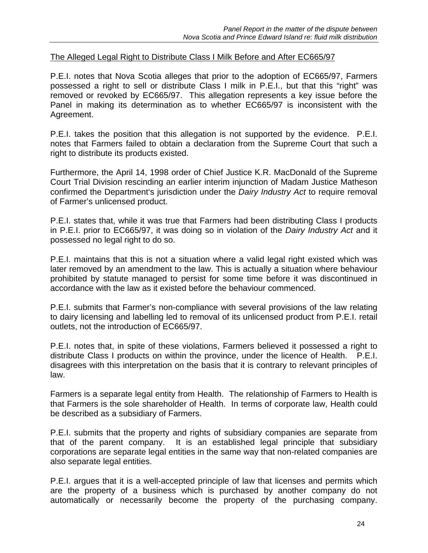### The Alleged Legal Right to Distribute Class I Milk Before and After EC665/97

P.E.I. notes that Nova Scotia alleges that prior to the adoption of EC665/97, Farmers possessed a right to sell or distribute Class I milk in P.E.I., but that this "right" was removed or revoked by EC665/97. This allegation represents a key issue before the Panel in making its determination as to whether EC665/97 is inconsistent with the Agreement.

P.E.I. takes the position that this allegation is not supported by the evidence. P.E.I. notes that Farmers failed to obtain a declaration from the Supreme Court that such a right to distribute its products existed.

Furthermore, the April 14, 1998 order of Chief Justice K.R. MacDonald of the Supreme Court Trial Division rescinding an earlier interim injunction of Madam Justice Matheson confirmed the Department's jurisdiction under the *Dairy Industry Act* to require removal of Farmer's unlicensed product.

P.E.I. states that, while it was true that Farmers had been distributing Class I products in P.E.I. prior to EC665/97, it was doing so in violation of the *Dairy Industry Act* and it possessed no legal right to do so.

P.E.I. maintains that this is not a situation where a valid legal right existed which was later removed by an amendment to the law. This is actually a situation where behaviour prohibited by statute managed to persist for some time before it was discontinued in accordance with the law as it existed before the behaviour commenced.

P.E.I. submits that Farmer's non-compliance with several provisions of the law relating to dairy licensing and labelling led to removal of its unlicensed product from P.E.I. retail outlets, not the introduction of EC665/97.

P.E.I. notes that, in spite of these violations, Farmers believed it possessed a right to distribute Class I products on within the province, under the licence of Health. P.E.I. disagrees with this interpretation on the basis that it is contrary to relevant principles of law.

Farmers is a separate legal entity from Health. The relationship of Farmers to Health is that Farmers is the sole shareholder of Health. In terms of corporate law, Health could be described as a subsidiary of Farmers.

P.E.I. submits that the property and rights of subsidiary companies are separate from that of the parent company. It is an established legal principle that subsidiary corporations are separate legal entities in the same way that non-related companies are also separate legal entities.

P.E.I. argues that it is a well-accepted principle of law that licenses and permits which are the property of a business which is purchased by another company do not automatically or necessarily become the property of the purchasing company.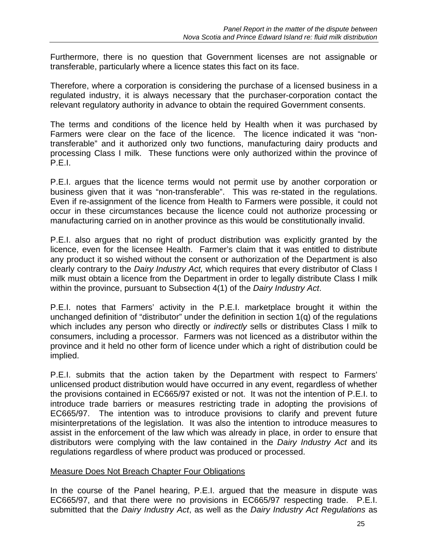Furthermore, there is no question that Government licenses are not assignable or transferable, particularly where a licence states this fact on its face.

Therefore, where a corporation is considering the purchase of a licensed business in a regulated industry, it is always necessary that the purchaser-corporation contact the relevant regulatory authority in advance to obtain the required Government consents.

The terms and conditions of the licence held by Health when it was purchased by Farmers were clear on the face of the licence. The licence indicated it was "nontransferable" and it authorized only two functions, manufacturing dairy products and processing Class I milk. These functions were only authorized within the province of P.E.I.

P.E.I. argues that the licence terms would not permit use by another corporation or business given that it was "non-transferable". This was re-stated in the regulations. Even if re-assignment of the licence from Health to Farmers were possible, it could not occur in these circumstances because the licence could not authorize processing or manufacturing carried on in another province as this would be constitutionally invalid.

P.E.I. also argues that no right of product distribution was explicitly granted by the licence, even for the licensee Health. Farmer's claim that it was entitled to distribute any product it so wished without the consent or authorization of the Department is also clearly contrary to the *Dairy Industry Act,* which requires that every distributor of Class I milk must obtain a licence from the Department in order to legally distribute Class I milk within the province, pursuant to Subsection 4(1) of the *Dairy Industry Act*.

P.E.I. notes that Farmers' activity in the P.E.I. marketplace brought it within the unchanged definition of "distributor" under the definition in section 1(q) of the regulations which includes any person who directly or *indirectly* sells or distributes Class I milk to consumers, including a processor. Farmers was not licenced as a distributor within the province and it held no other form of licence under which a right of distribution could be implied.

P.E.I. submits that the action taken by the Department with respect to Farmers' unlicensed product distribution would have occurred in any event, regardless of whether the provisions contained in EC665/97 existed or not. It was not the intention of P.E.I. to introduce trade barriers or measures restricting trade in adopting the provisions of EC665/97. The intention was to introduce provisions to clarify and prevent future misinterpretations of the legislation. It was also the intention to introduce measures to assist in the enforcement of the law which was already in place, in order to ensure that distributors were complying with the law contained in the *Dairy Industry Act* and its regulations regardless of where product was produced or processed.

# Measure Does Not Breach Chapter Four Obligations

In the course of the Panel hearing, P.E.I. argued that the measure in dispute was EC665/97, and that there were no provisions in EC665/97 respecting trade. P.E.I. submitted that the *Dairy Industry Act*, as well as the *Dairy Industry Act Regulations* as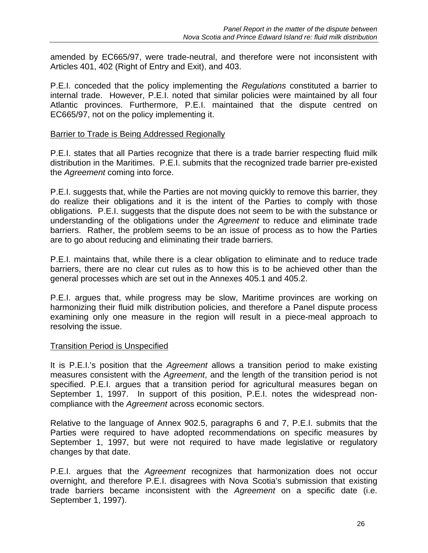amended by EC665/97, were trade-neutral, and therefore were not inconsistent with Articles 401, 402 (Right of Entry and Exit), and 403.

P.E.I. conceded that the policy implementing the *Regulations* constituted a barrier to internal trade. However, P.E.I. noted that similar policies were maintained by all four Atlantic provinces. Furthermore, P.E.I. maintained that the dispute centred on EC665/97, not on the policy implementing it.

### Barrier to Trade is Being Addressed Regionally

P.E.I. states that all Parties recognize that there is a trade barrier respecting fluid milk distribution in the Maritimes. P.E.I. submits that the recognized trade barrier pre-existed the *Agreement* coming into force.

P.E.I. suggests that, while the Parties are not moving quickly to remove this barrier, they do realize their obligations and it is the intent of the Parties to comply with those obligations. P.E.I. suggests that the dispute does not seem to be with the substance or understanding of the obligations under the *Agreement* to reduce and eliminate trade barriers. Rather, the problem seems to be an issue of process as to how the Parties are to go about reducing and eliminating their trade barriers.

P.E.I. maintains that, while there is a clear obligation to eliminate and to reduce trade barriers, there are no clear cut rules as to how this is to be achieved other than the general processes which are set out in the Annexes 405.1 and 405.2.

P.E.I. argues that, while progress may be slow, Maritime provinces are working on harmonizing their fluid milk distribution policies, and therefore a Panel dispute process examining only one measure in the region will result in a piece-meal approach to resolving the issue.

#### Transition Period is Unspecified

It is P.E.I.'s position that the *Agreement* allows a transition period to make existing measures consistent with the *Agreement*, and the length of the transition period is not specified. P.E.I. argues that a transition period for agricultural measures began on September 1, 1997. In support of this position, P.E.I. notes the widespread noncompliance with the *Agreement* across economic sectors.

Relative to the language of Annex 902.5, paragraphs 6 and 7, P.E.I. submits that the Parties were required to have adopted recommendations on specific measures by September 1, 1997, but were not required to have made legislative or regulatory changes by that date.

P.E.I. argues that the *Agreement* recognizes that harmonization does not occur overnight, and therefore P.E.I. disagrees with Nova Scotia's submission that existing trade barriers became inconsistent with the *Agreement* on a specific date (i.e. September 1, 1997).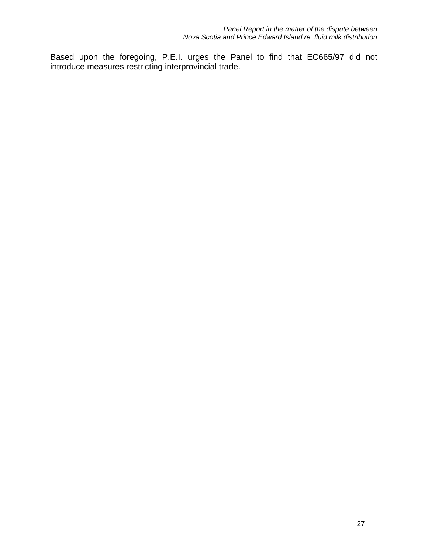Based upon the foregoing, P.E.I. urges the Panel to find that EC665/97 did not introduce measures restricting interprovincial trade.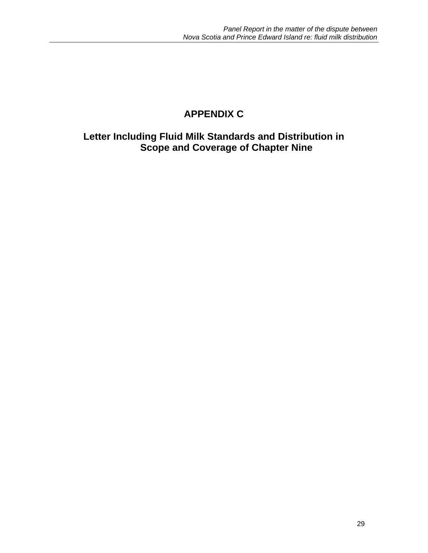# **APPENDIX C**

**Letter Including Fluid Milk Standards and Distribution in Scope and Coverage of Chapter Nine**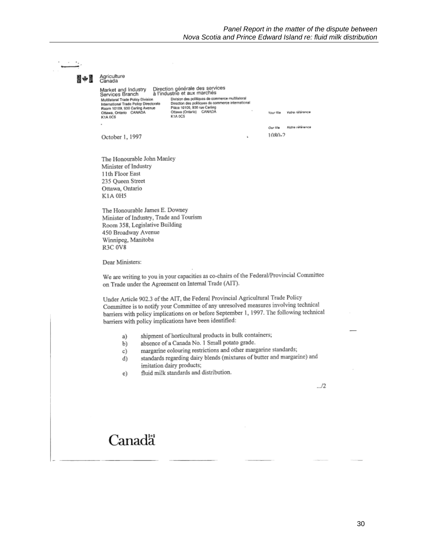| 國心區 | Agriculture<br>Canada                                                                                                                                                                                                                                                                                                                                                                                                                                                                                                                                                                                                                                                                                                                                                            |  |
|-----|----------------------------------------------------------------------------------------------------------------------------------------------------------------------------------------------------------------------------------------------------------------------------------------------------------------------------------------------------------------------------------------------------------------------------------------------------------------------------------------------------------------------------------------------------------------------------------------------------------------------------------------------------------------------------------------------------------------------------------------------------------------------------------|--|
|     | Direction générale des services<br>Market and Industry<br>à l'industrie et aux marchés<br>Services Branch<br>Division des politiques de commerce multilateral<br>Multilateral Trade Policy Division<br>Direction des politiques de commerce international<br>International Trade Policy Directorate<br>Pièce 10109, 930 rue Carling<br>Room 10109, 930 Carling Avenue<br>Ottawa (Ontario) CANADA<br>Ottawa, Ontario CANADA<br>Vatra référence<br>Your file<br>K1A 0C5<br>K1A 0C5                                                                                                                                                                                                                                                                                                 |  |
|     | Notre référence<br>Our file<br>1080-2                                                                                                                                                                                                                                                                                                                                                                                                                                                                                                                                                                                                                                                                                                                                            |  |
|     | October 1, 1997<br>à,<br>The Honourable John Manley<br>Minister of Industry<br>11th Floor East<br>235 Queen Street<br>Ottawa, Ontario<br>K1A 0H5<br>The Honourable James E. Downey<br>Minister of Industry, Trade and Tourism<br>Room 358, Legislative Building<br>450 Broadway Avenue<br>Winnipeg, Manitoba<br><b>R3C 0V8</b><br>Dear Ministers:<br>We are writing to you in your capacities as co-chairs of the Federal/Provincial Committee<br>on Trade under the Agreement on Internal Trade (AIT).<br>Under Article 902.3 of the AIT, the Federal Provincial Agricultural Trade Policy<br>Committee is to notify your Committee of any unresolved measures involving technical<br>barriers with policy implications on or before September 1, 1997. The following technical |  |
|     | barriers with policy implications have been identified:<br>shipment of horticultural products in bulk containers;<br>a)<br>absence of a Canada No. 1 Small potato grade.<br>b)<br>margarine colouring restrictions and other margarine standards;<br>c)<br>standards regarding dairy blends (mixtures of butter and margarine) and<br>d)<br>imitation dairy products;<br>fluid milk standards and distribution.<br>e)                                                                                                                                                                                                                                                                                                                                                            |  |
|     | 12                                                                                                                                                                                                                                                                                                                                                                                                                                                                                                                                                                                                                                                                                                                                                                               |  |
|     | Canadä                                                                                                                                                                                                                                                                                                                                                                                                                                                                                                                                                                                                                                                                                                                                                                           |  |

 $\overline{\phantom{a}}$ 

 $\cdot$